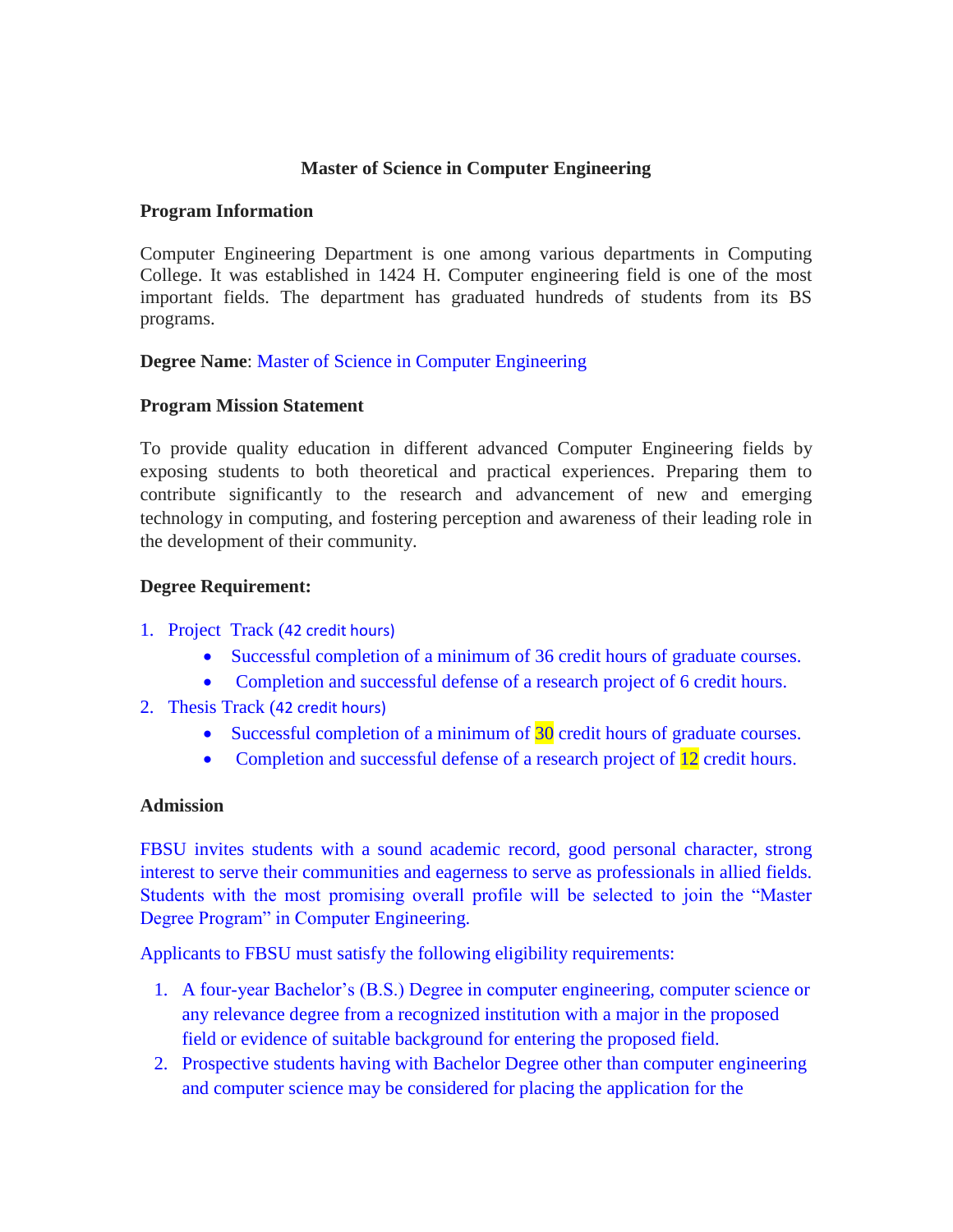#### **Master of Science in Computer Engineering**

#### **Program Information**

Computer Engineering Department is one among various departments in Computing College. It was established in 1424 H. Computer engineering field is one of the most important fields. The department has graduated hundreds of students from its BS programs.

**Degree Name**: Master of Science in Computer Engineering

#### **Program Mission Statement**

To provide quality education in different advanced Computer Engineering fields by exposing students to both theoretical and practical experiences. Preparing them to contribute significantly to the research and advancement of new and emerging technology in computing, and fostering perception and awareness of their leading role in the development of their community.

#### **Degree Requirement:**

- 1. Project Track (42 credit hours)
	- Successful completion of a minimum of 36 credit hours of graduate courses.
	- Completion and successful defense of a research project of 6 credit hours.
- 2. Thesis Track (42 credit hours)
	- Successful completion of a minimum of 30 credit hours of graduate courses.
	- Completion and successful defense of a research project of 12 credit hours.

#### **Admission**

FBSU invites students with a sound academic record, good personal character, strong interest to serve their communities and eagerness to serve as professionals in allied fields. Students with the most promising overall profile will be selected to join the "Master Degree Program" in Computer Engineering.

Applicants to FBSU must satisfy the following eligibility requirements:

- 1. A four-year Bachelor's (B.S.) Degree in computer engineering, computer science or any relevance degree from a recognized institution with a major in the proposed field or evidence of suitable background for entering the proposed field.
- 2. Prospective students having with Bachelor Degree other than computer engineering and computer science may be considered for placing the application for the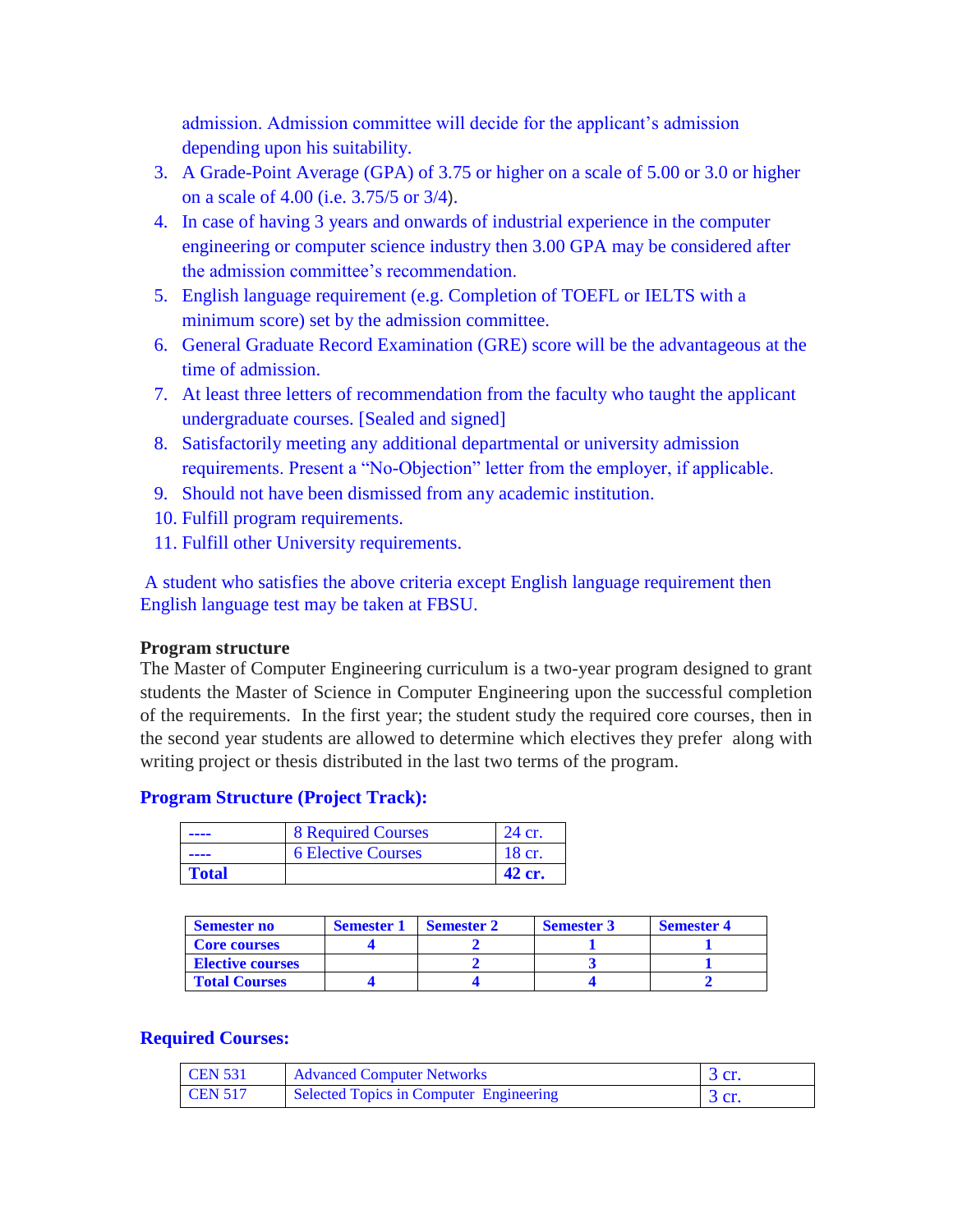admission. Admission committee will decide for the applicant's admission depending upon his suitability.

- 3. A Grade-Point Average (GPA) of 3.75 or higher on a scale of 5.00 or 3.0 or higher on a scale of 4.00 (i.e. 3.75/5 or 3/4).
- 4. In case of having 3 years and onwards of industrial experience in the computer engineering or computer science industry then 3.00 GPA may be considered after the admission committee's recommendation.
- 5. English language requirement (e.g. Completion of TOEFL or IELTS with a minimum score) set by the admission committee.
- 6. General Graduate Record Examination (GRE) score will be the advantageous at the time of admission.
- 7. At least three letters of recommendation from the faculty who taught the applicant undergraduate courses. [Sealed and signed]
- 8. Satisfactorily meeting any additional departmental or university admission requirements. Present a "No-Objection" letter from the employer, if applicable.
- 9. Should not have been dismissed from any academic institution.
- 10. Fulfill program requirements.
- 11. Fulfill other University requirements.

A student who satisfies the above criteria except English language requirement then English language test may be taken at FBSU.

#### **Program structure**

The Master of Computer Engineering curriculum is a two-year program designed to grant students the Master of Science in Computer Engineering upon the successful completion of the requirements. In the first year; the student study the required core courses, then in the second year students are allowed to determine which electives they prefer along with writing project or thesis distributed in the last two terms of the program.

#### **Program Structure (Project Track):**

| ----  | <b>8 Required Courses</b> | 24 cr. |
|-------|---------------------------|--------|
| ----  | <b>6 Elective Courses</b> | 18 cr. |
| Total |                           | 42 cr. |

| <b>Semester no</b>      | <b>Semester 1</b> | <b>Semester 2</b> | <b>Semester 3</b> | <b>Semester 4</b> |
|-------------------------|-------------------|-------------------|-------------------|-------------------|
| <b>Core courses</b>     |                   |                   |                   |                   |
| <b>Elective courses</b> |                   |                   |                   |                   |
| <b>Total Courses</b>    |                   |                   |                   |                   |

#### **Required Courses:**

| <b>CEN 531</b>   | <b>Advanced Computer Networks</b>       | $\beta$ cr. |
|------------------|-----------------------------------------|-------------|
| $\Gamma$ CEN 517 | Selected Topics in Computer Engineering | $\beta$ cr. |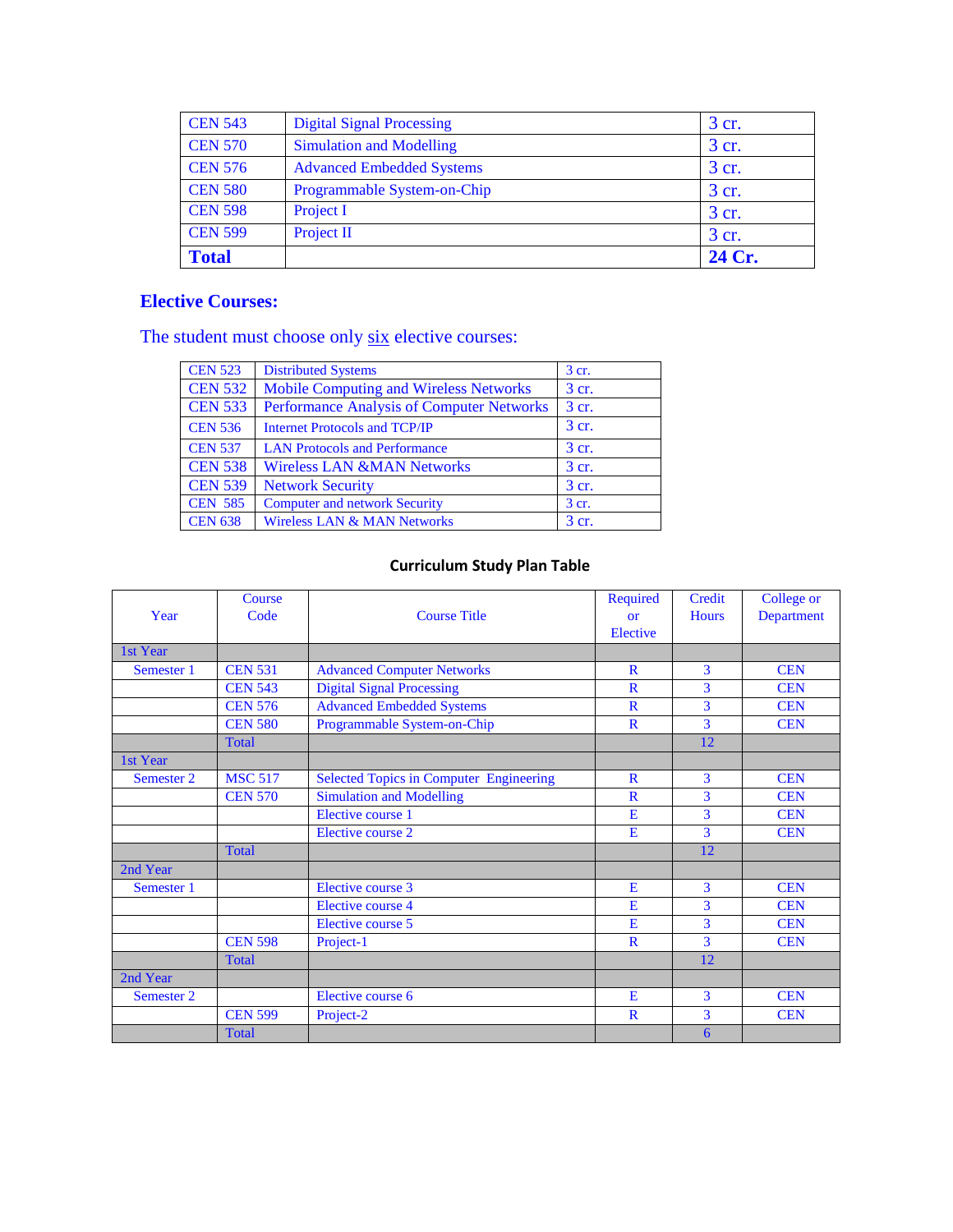| <b>CEN 543</b> | <b>Digital Signal Processing</b> | 3 cr.  |
|----------------|----------------------------------|--------|
| <b>CEN 570</b> | <b>Simulation and Modelling</b>  | 3 cr.  |
| <b>CEN 576</b> | <b>Advanced Embedded Systems</b> | 3 cr.  |
| <b>CEN 580</b> | Programmable System-on-Chip      | 3 cr.  |
| <b>CEN 598</b> | Project I                        | 3 cr.  |
| <b>CEN 599</b> | Project II                       | 3 cr.  |
| <b>Total</b>   |                                  | 24 Cr. |

## **Elective Courses:**

The student must choose only  $\frac{\text{six}}{\text{six}}$  elective courses:

| <b>CEN 523</b> | <b>Distributed Systems</b>                       | $3$ cr. |
|----------------|--------------------------------------------------|---------|
| <b>CEN 532</b> | <b>Mobile Computing and Wireless Networks</b>    | 3 cr.   |
| <b>CEN 533</b> | <b>Performance Analysis of Computer Networks</b> | 3 cr.   |
| <b>CEN 536</b> | <b>Internet Protocols and TCP/IP</b>             | 3 cr.   |
| <b>CEN 537</b> | <b>LAN Protocols and Performance</b>             | 3 cr.   |
| <b>CEN 538</b> | <b>Wireless LAN &amp;MAN Networks</b>            | 3 cr.   |
| <b>CEN 539</b> | <b>Network Security</b>                          | 3 cr.   |
| <b>CEN 585</b> | <b>Computer and network Security</b>             | 3 cr.   |
| <b>CEN 638</b> | <b>Wireless LAN &amp; MAN Networks</b>           | 3 cr.   |

## **Curriculum Study Plan Table**

|            | Course         |                                                | Required     | Credit       | College or |
|------------|----------------|------------------------------------------------|--------------|--------------|------------|
| Year       | Code           | <b>Course Title</b>                            | <b>or</b>    | <b>Hours</b> | Department |
|            |                |                                                | Elective     |              |            |
| 1st Year   |                |                                                |              |              |            |
| Semester 1 | <b>CEN 531</b> | <b>Advanced Computer Networks</b>              | $\mathbb{R}$ | 3            | <b>CEN</b> |
|            | <b>CEN 543</b> | <b>Digital Signal Processing</b>               | $\mathbf R$  | 3            | <b>CEN</b> |
|            | <b>CEN 576</b> | <b>Advanced Embedded Systems</b>               | $\mathbf R$  | 3            | <b>CEN</b> |
|            | <b>CEN 580</b> | Programmable System-on-Chip                    | $\mathbf R$  | 3            | <b>CEN</b> |
|            | <b>Total</b>   |                                                |              | 12           |            |
| 1st Year   |                |                                                |              |              |            |
| Semester 2 | <b>MSC 517</b> | <b>Selected Topics in Computer Engineering</b> | $\mathbf{R}$ | 3            | <b>CEN</b> |
|            | <b>CEN 570</b> | <b>Simulation and Modelling</b>                | $\mathbf{R}$ | 3            | <b>CEN</b> |
|            |                | Elective course 1                              | E            | 3            | <b>CEN</b> |
|            |                | Elective course 2                              | E            | 3            | <b>CEN</b> |
|            | <b>Total</b>   |                                                |              | 12           |            |
| 2nd Year   |                |                                                |              |              |            |
| Semester 1 |                | Elective course 3                              | E            | 3            | <b>CEN</b> |
|            |                | Elective course 4                              | E            | 3            | <b>CEN</b> |
|            |                | Elective course 5                              | E            | 3            | <b>CEN</b> |
|            | <b>CEN 598</b> | Project-1                                      | $\mathbf R$  | 3            | <b>CEN</b> |
|            | <b>Total</b>   |                                                |              | 12           |            |
| 2nd Year   |                |                                                |              |              |            |
| Semester 2 |                | Elective course 6                              | E            | 3            | <b>CEN</b> |
|            | <b>CEN 599</b> | Project-2                                      | $\mathbf R$  | 3            | <b>CEN</b> |
|            | <b>Total</b>   |                                                |              | 6            |            |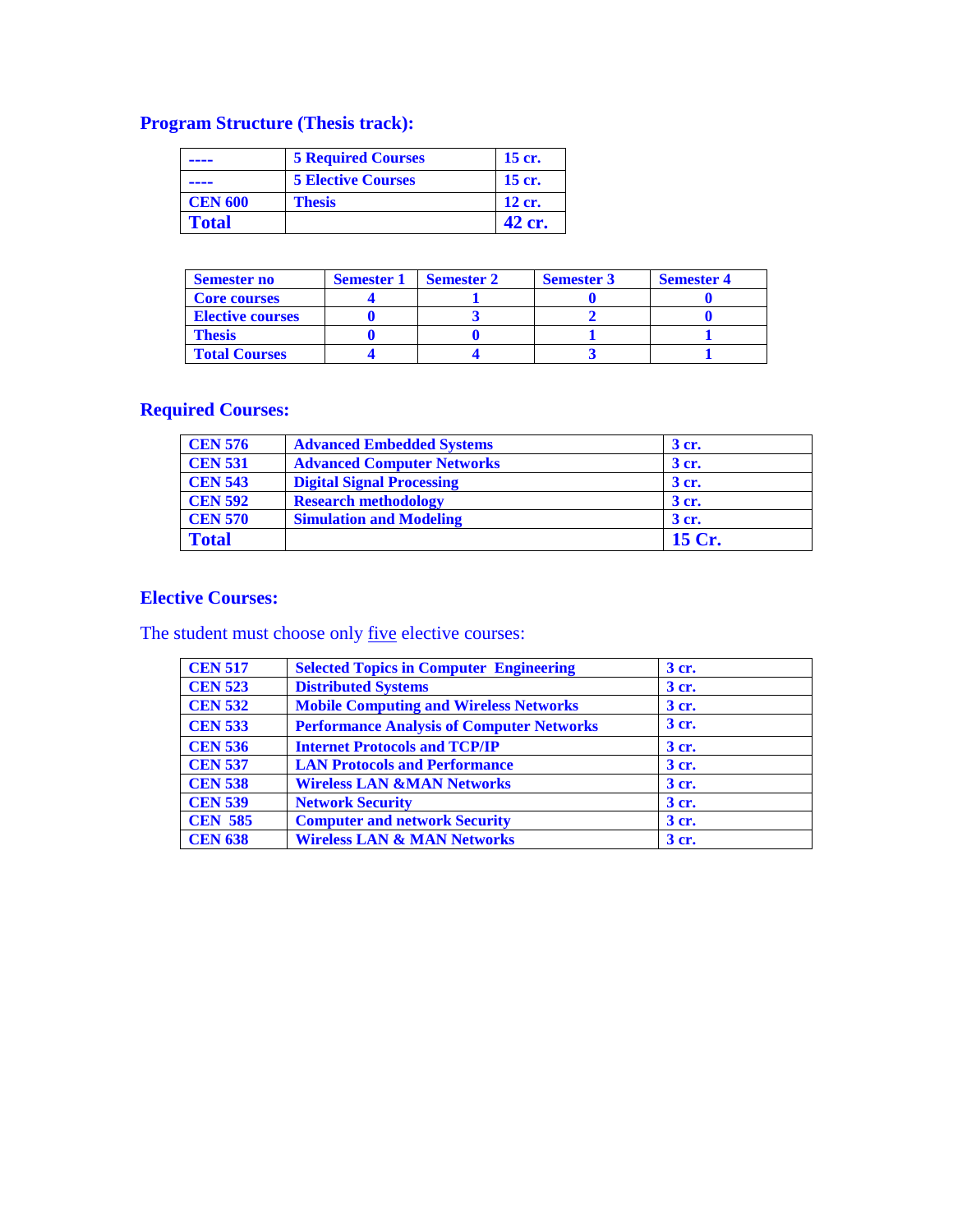## **Program Structure (Thesis track):**

|                | <b>5 Required Courses</b> | 15 cr. |
|----------------|---------------------------|--------|
|                | <b>5 Elective Courses</b> | 15 cr. |
| <b>CEN 600</b> | <b>Thesis</b>             | 12 cr. |
| <b>Total</b>   |                           | 42 cr. |

| <b>Semester no</b>      | <b>Semester 1</b> | <b>Semester 2</b> | <b>Semester 3</b> | <b>Semester 4</b> |
|-------------------------|-------------------|-------------------|-------------------|-------------------|
| <b>Core courses</b>     |                   |                   |                   |                   |
| <b>Elective courses</b> |                   |                   |                   |                   |
| Thesis                  |                   |                   |                   |                   |
| <b>Total Courses</b>    |                   |                   |                   |                   |

## **Required Courses:**

| <b>CEN 576</b> | <b>Advanced Embedded Systems</b>  | 3 cr.  |
|----------------|-----------------------------------|--------|
| <b>CEN 531</b> | <b>Advanced Computer Networks</b> | 3 cr.  |
| <b>CEN 543</b> | <b>Digital Signal Processing</b>  | 3 cr.  |
| <b>CEN 592</b> | <b>Research methodology</b>       | 3 cr.  |
| <b>CEN 570</b> | <b>Simulation and Modeling</b>    | 3 cr.  |
| <b>Total</b>   |                                   | 15 Cr. |

### **Elective Courses:**

The student must choose only five elective courses:

| <b>CEN 517</b> | <b>Selected Topics in Computer Engineering</b>   | 3 cr. |
|----------------|--------------------------------------------------|-------|
| <b>CEN 523</b> | <b>Distributed Systems</b>                       | 3 cr. |
| <b>CEN 532</b> | <b>Mobile Computing and Wireless Networks</b>    | 3 cr. |
| <b>CEN 533</b> | <b>Performance Analysis of Computer Networks</b> | 3 cr. |
| <b>CEN 536</b> | <b>Internet Protocols and TCP/IP</b>             | 3 cr. |
| <b>CEN 537</b> | <b>LAN Protocols and Performance</b>             | 3 cr. |
| <b>CEN 538</b> | <b>Wireless LAN &amp;MAN Networks</b>            | 3 cr. |
| <b>CEN 539</b> | <b>Network Security</b>                          | 3 cr. |
| <b>CEN 585</b> | <b>Computer and network Security</b>             | 3 cr. |
| <b>CEN 638</b> | <b>Wireless LAN &amp; MAN Networks</b>           | 3 cr. |
|                |                                                  |       |